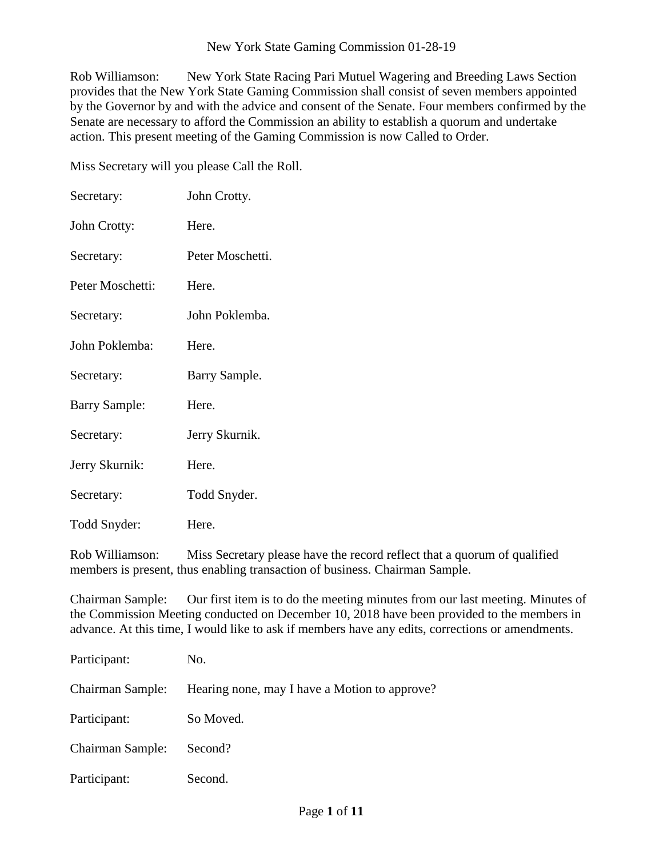## New York State Gaming Commission 01-28-19

Rob Williamson: New York State Racing Pari Mutuel Wagering and Breeding Laws Section provides that the New York State Gaming Commission shall consist of seven members appointed by the Governor by and with the advice and consent of the Senate. Four members confirmed by the Senate are necessary to afford the Commission an ability to establish a quorum and undertake action. This present meeting of the Gaming Commission is now Called to Order.

Miss Secretary will you please Call the Roll.

| Secretary:           | John Crotty.     |
|----------------------|------------------|
| John Crotty:         | Here.            |
| Secretary:           | Peter Moschetti. |
| Peter Moschetti:     | Here.            |
| Secretary:           | John Poklemba.   |
| John Poklemba:       | Here.            |
| Secretary:           | Barry Sample.    |
| <b>Barry Sample:</b> | Here.            |
| Secretary:           | Jerry Skurnik.   |
| Jerry Skurnik:       | Here.            |
| Secretary:           | Todd Snyder.     |
| Todd Snyder:         | Here.            |

Rob Williamson: Miss Secretary please have the record reflect that a quorum of qualified members is present, thus enabling transaction of business. Chairman Sample.

Chairman Sample: Our first item is to do the meeting minutes from our last meeting. Minutes of the Commission Meeting conducted on December 10, 2018 have been provided to the members in advance. At this time, I would like to ask if members have any edits, corrections or amendments.

| Participant:     | No.                                           |
|------------------|-----------------------------------------------|
| Chairman Sample: | Hearing none, may I have a Motion to approve? |
| Participant:     | So Moved.                                     |
| Chairman Sample: | Second?                                       |
| Participant:     | Second.                                       |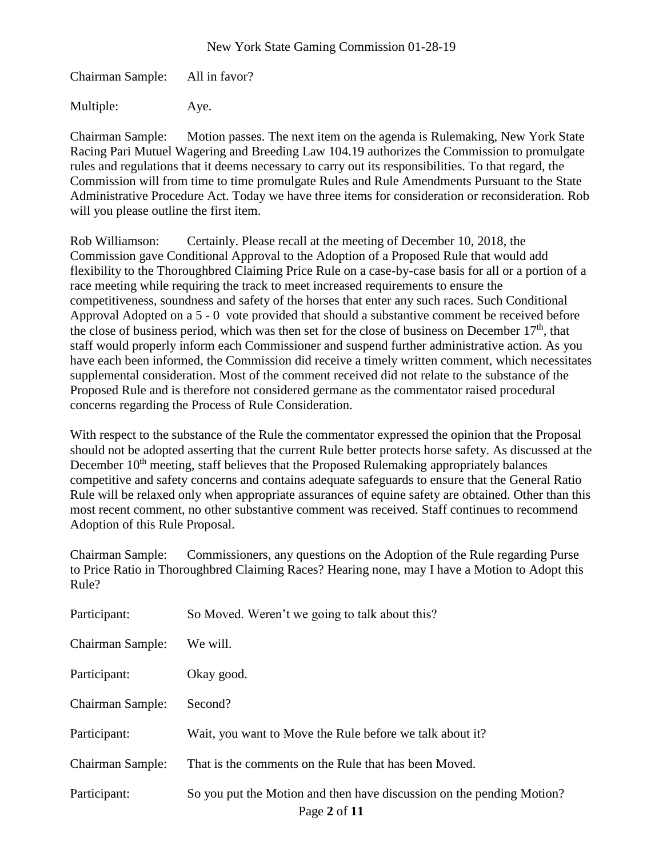Chairman Sample: All in favor?

Multiple: Aye.

Chairman Sample: Motion passes. The next item on the agenda is Rulemaking, New York State Racing Pari Mutuel Wagering and Breeding Law 104.19 authorizes the Commission to promulgate rules and regulations that it deems necessary to carry out its responsibilities. To that regard, the Commission will from time to time promulgate Rules and Rule Amendments Pursuant to the State Administrative Procedure Act. Today we have three items for consideration or reconsideration. Rob will you please outline the first item.

Rob Williamson: Certainly. Please recall at the meeting of December 10, 2018, the Commission gave Conditional Approval to the Adoption of a Proposed Rule that would add flexibility to the Thoroughbred Claiming Price Rule on a case-by-case basis for all or a portion of a race meeting while requiring the track to meet increased requirements to ensure the competitiveness, soundness and safety of the horses that enter any such races. Such Conditional Approval Adopted on a 5 - 0 vote provided that should a substantive comment be received before the close of business period, which was then set for the close of business on December  $17<sup>th</sup>$ , that staff would properly inform each Commissioner and suspend further administrative action. As you have each been informed, the Commission did receive a timely written comment, which necessitates supplemental consideration. Most of the comment received did not relate to the substance of the Proposed Rule and is therefore not considered germane as the commentator raised procedural concerns regarding the Process of Rule Consideration.

With respect to the substance of the Rule the commentator expressed the opinion that the Proposal should not be adopted asserting that the current Rule better protects horse safety. As discussed at the December  $10<sup>th</sup>$  meeting, staff believes that the Proposed Rulemaking appropriately balances competitive and safety concerns and contains adequate safeguards to ensure that the General Ratio Rule will be relaxed only when appropriate assurances of equine safety are obtained. Other than this most recent comment, no other substantive comment was received. Staff continues to recommend Adoption of this Rule Proposal.

Chairman Sample: Commissioners, any questions on the Adoption of the Rule regarding Purse to Price Ratio in Thoroughbred Claiming Races? Hearing none, may I have a Motion to Adopt this Rule?

| Participant:            | So Moved. Weren't we going to talk about this?                                        |
|-------------------------|---------------------------------------------------------------------------------------|
| Chairman Sample:        | We will.                                                                              |
| Participant:            | Okay good.                                                                            |
| Chairman Sample:        | Second?                                                                               |
| Participant:            | Wait, you want to Move the Rule before we talk about it?                              |
| <b>Chairman Sample:</b> | That is the comments on the Rule that has been Moved.                                 |
| Participant:            | So you put the Motion and then have discussion on the pending Motion?<br>Page 2 of 11 |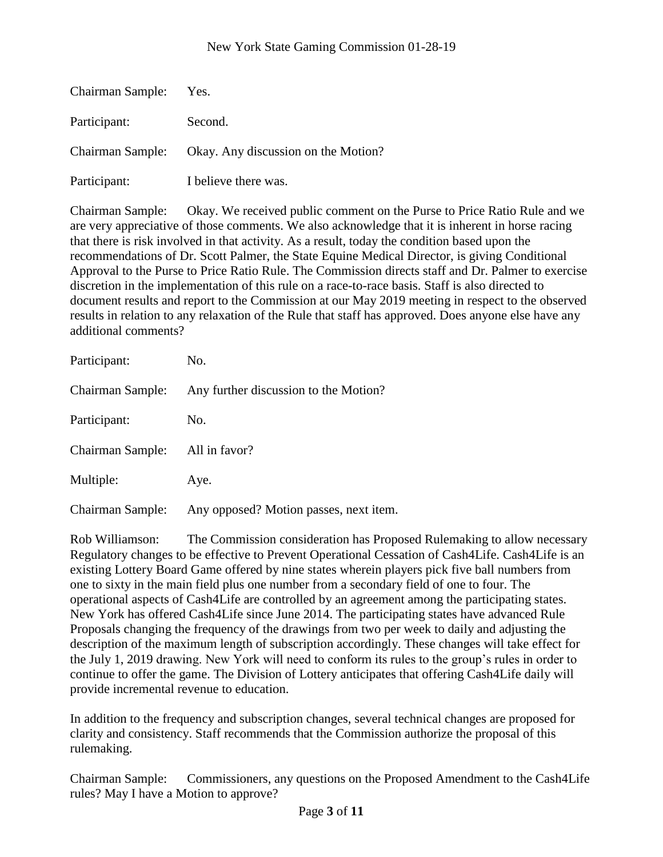| Chairman Sample: Yes. |                                                      |
|-----------------------|------------------------------------------------------|
| Participant:          | Second.                                              |
|                       | Chairman Sample: Okay. Any discussion on the Motion? |
| Participant:          | I believe there was.                                 |

Chairman Sample: Okay. We received public comment on the Purse to Price Ratio Rule and we are very appreciative of those comments. We also acknowledge that it is inherent in horse racing that there is risk involved in that activity. As a result, today the condition based upon the recommendations of Dr. Scott Palmer, the State Equine Medical Director, is giving Conditional Approval to the Purse to Price Ratio Rule. The Commission directs staff and Dr. Palmer to exercise discretion in the implementation of this rule on a race-to-race basis. Staff is also directed to document results and report to the Commission at our May 2019 meeting in respect to the observed results in relation to any relaxation of the Rule that staff has approved. Does anyone else have any additional comments?

| Participant:     | No.                                    |
|------------------|----------------------------------------|
| Chairman Sample: | Any further discussion to the Motion?  |
| Participant:     | No.                                    |
| Chairman Sample: | All in favor?                          |
| Multiple:        | Aye.                                   |
| Chairman Sample: | Any opposed? Motion passes, next item. |

Rob Williamson: The Commission consideration has Proposed Rulemaking to allow necessary Regulatory changes to be effective to Prevent Operational Cessation of Cash4Life. Cash4Life is an existing Lottery Board Game offered by nine states wherein players pick five ball numbers from one to sixty in the main field plus one number from a secondary field of one to four. The operational aspects of Cash4Life are controlled by an agreement among the participating states. New York has offered Cash4Life since June 2014. The participating states have advanced Rule Proposals changing the frequency of the drawings from two per week to daily and adjusting the description of the maximum length of subscription accordingly. These changes will take effect for the July 1, 2019 drawing. New York will need to conform its rules to the group's rules in order to continue to offer the game. The Division of Lottery anticipates that offering Cash4Life daily will provide incremental revenue to education.

In addition to the frequency and subscription changes, several technical changes are proposed for clarity and consistency. Staff recommends that the Commission authorize the proposal of this rulemaking.

Chairman Sample: Commissioners, any questions on the Proposed Amendment to the Cash4Life rules? May I have a Motion to approve?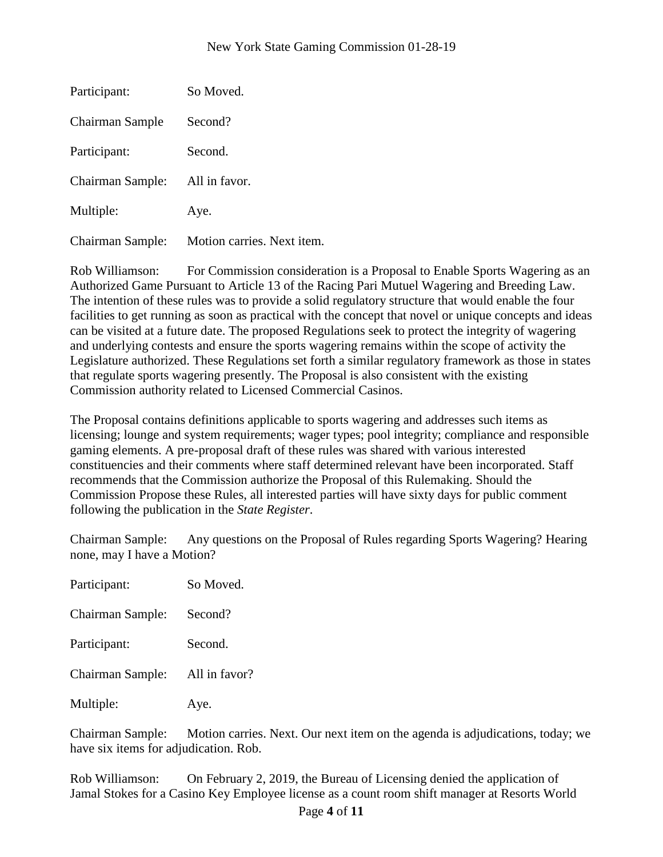| Participant:     | So Moved.                  |
|------------------|----------------------------|
| Chairman Sample  | Second?                    |
| Participant:     | Second.                    |
| Chairman Sample: | All in favor.              |
| Multiple:        | Aye.                       |
| Chairman Sample: | Motion carries. Next item. |

Rob Williamson: For Commission consideration is a Proposal to Enable Sports Wagering as an Authorized Game Pursuant to Article 13 of the Racing Pari Mutuel Wagering and Breeding Law. The intention of these rules was to provide a solid regulatory structure that would enable the four facilities to get running as soon as practical with the concept that novel or unique concepts and ideas can be visited at a future date. The proposed Regulations seek to protect the integrity of wagering and underlying contests and ensure the sports wagering remains within the scope of activity the Legislature authorized. These Regulations set forth a similar regulatory framework as those in states that regulate sports wagering presently. The Proposal is also consistent with the existing Commission authority related to Licensed Commercial Casinos.

The Proposal contains definitions applicable to sports wagering and addresses such items as licensing; lounge and system requirements; wager types; pool integrity; compliance and responsible gaming elements. A pre-proposal draft of these rules was shared with various interested constituencies and their comments where staff determined relevant have been incorporated. Staff recommends that the Commission authorize the Proposal of this Rulemaking. Should the Commission Propose these Rules, all interested parties will have sixty days for public comment following the publication in the *State Register*.

Chairman Sample: Any questions on the Proposal of Rules regarding Sports Wagering? Hearing none, may I have a Motion?

| Participant:     | So Moved.     |
|------------------|---------------|
| Chairman Sample: | Second?       |
| Participant:     | Second.       |
| Chairman Sample: | All in favor? |
| Multiple:        | Aye.          |

Chairman Sample: Motion carries. Next. Our next item on the agenda is adjudications, today; we have six items for adjudication. Rob.

Rob Williamson: On February 2, 2019, the Bureau of Licensing denied the application of Jamal Stokes for a Casino Key Employee license as a count room shift manager at Resorts World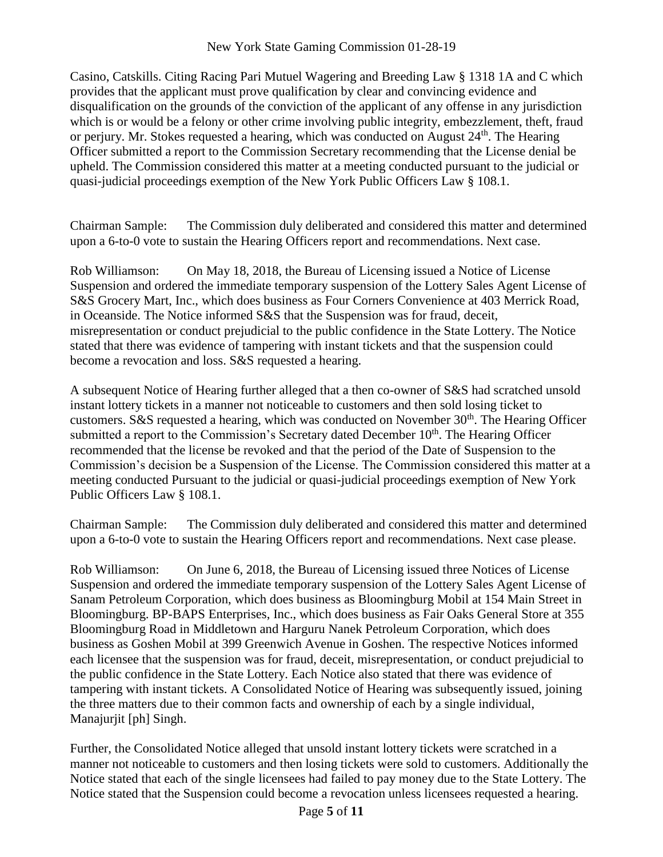Casino, Catskills. Citing Racing Pari Mutuel Wagering and Breeding Law § 1318 1A and C which provides that the applicant must prove qualification by clear and convincing evidence and disqualification on the grounds of the conviction of the applicant of any offense in any jurisdiction which is or would be a felony or other crime involving public integrity, embezzlement, theft, fraud or perjury. Mr. Stokes requested a hearing, which was conducted on August  $24<sup>th</sup>$ . The Hearing Officer submitted a report to the Commission Secretary recommending that the License denial be upheld. The Commission considered this matter at a meeting conducted pursuant to the judicial or quasi-judicial proceedings exemption of the New York Public Officers Law § 108.1.

Chairman Sample: The Commission duly deliberated and considered this matter and determined upon a 6-to-0 vote to sustain the Hearing Officers report and recommendations. Next case.

Rob Williamson: On May 18, 2018, the Bureau of Licensing issued a Notice of License Suspension and ordered the immediate temporary suspension of the Lottery Sales Agent License of S&S Grocery Mart, Inc., which does business as Four Corners Convenience at 403 Merrick Road, in Oceanside. The Notice informed S&S that the Suspension was for fraud, deceit, misrepresentation or conduct prejudicial to the public confidence in the State Lottery. The Notice stated that there was evidence of tampering with instant tickets and that the suspension could become a revocation and loss. S&S requested a hearing.

A subsequent Notice of Hearing further alleged that a then co-owner of S&S had scratched unsold instant lottery tickets in a manner not noticeable to customers and then sold losing ticket to customers. S&S requested a hearing, which was conducted on November  $30<sup>th</sup>$ . The Hearing Officer submitted a report to the Commission's Secretary dated December  $10<sup>th</sup>$ . The Hearing Officer recommended that the license be revoked and that the period of the Date of Suspension to the Commission's decision be a Suspension of the License. The Commission considered this matter at a meeting conducted Pursuant to the judicial or quasi-judicial proceedings exemption of New York Public Officers Law § 108.1.

Chairman Sample: The Commission duly deliberated and considered this matter and determined upon a 6-to-0 vote to sustain the Hearing Officers report and recommendations. Next case please.

Rob Williamson: On June 6, 2018, the Bureau of Licensing issued three Notices of License Suspension and ordered the immediate temporary suspension of the Lottery Sales Agent License of Sanam Petroleum Corporation, which does business as Bloomingburg Mobil at 154 Main Street in Bloomingburg. BP-BAPS Enterprises, Inc., which does business as Fair Oaks General Store at 355 Bloomingburg Road in Middletown and Harguru Nanek Petroleum Corporation, which does business as Goshen Mobil at 399 Greenwich Avenue in Goshen. The respective Notices informed each licensee that the suspension was for fraud, deceit, misrepresentation, or conduct prejudicial to the public confidence in the State Lottery. Each Notice also stated that there was evidence of tampering with instant tickets. A Consolidated Notice of Hearing was subsequently issued, joining the three matters due to their common facts and ownership of each by a single individual, Manajurjit [ph] Singh.

Further, the Consolidated Notice alleged that unsold instant lottery tickets were scratched in a manner not noticeable to customers and then losing tickets were sold to customers. Additionally the Notice stated that each of the single licensees had failed to pay money due to the State Lottery. The Notice stated that the Suspension could become a revocation unless licensees requested a hearing.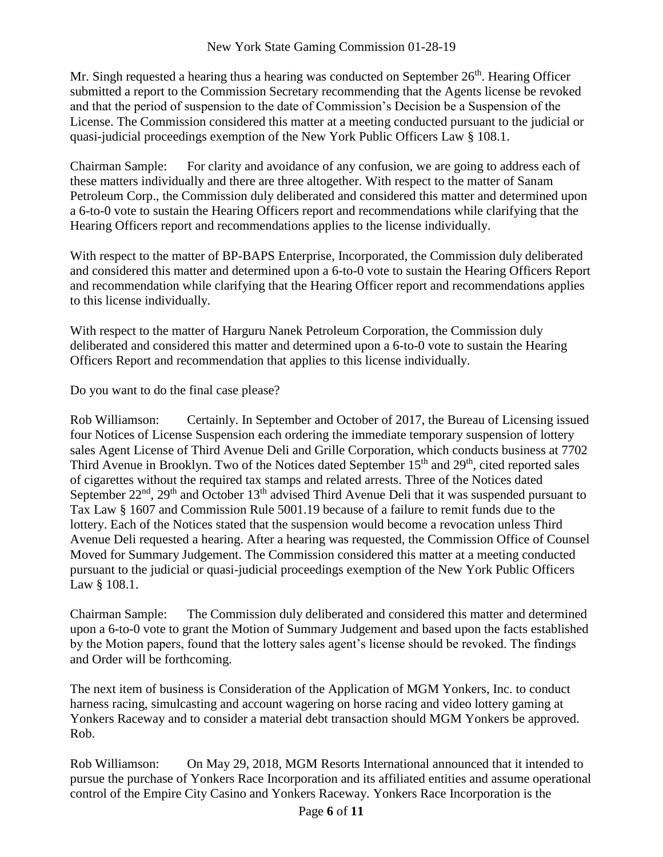Mr. Singh requested a hearing thus a hearing was conducted on September  $26<sup>th</sup>$ . Hearing Officer submitted a report to the Commission Secretary recommending that the Agents license be revoked and that the period of suspension to the date of Commission's Decision be a Suspension of the License. The Commission considered this matter at a meeting conducted pursuant to the judicial or quasi-judicial proceedings exemption of the New York Public Officers Law § 108.1.

Chairman Sample: For clarity and avoidance of any confusion, we are going to address each of these matters individually and there are three altogether. With respect to the matter of Sanam Petroleum Corp., the Commission duly deliberated and considered this matter and determined upon a 6-to-0 vote to sustain the Hearing Officers report and recommendations while clarifying that the Hearing Officers report and recommendations applies to the license individually.

With respect to the matter of BP-BAPS Enterprise, Incorporated, the Commission duly deliberated and considered this matter and determined upon a 6-to-0 vote to sustain the Hearing Officers Report and recommendation while clarifying that the Hearing Officer report and recommendations applies to this license individually.

With respect to the matter of Harguru Nanek Petroleum Corporation, the Commission duly deliberated and considered this matter and determined upon a 6-to-0 vote to sustain the Hearing Officers Report and recommendation that applies to this license individually.

Do you want to do the final case please?

Rob Williamson: Certainly. In September and October of 2017, the Bureau of Licensing issued four Notices of License Suspension each ordering the immediate temporary suspension of lottery sales Agent License of Third Avenue Deli and Grille Corporation, which conducts business at 7702 Third Avenue in Brooklyn. Two of the Notices dated September 15<sup>th</sup> and 29<sup>th</sup>, cited reported sales of cigarettes without the required tax stamps and related arrests. Three of the Notices dated September  $22<sup>nd</sup>$ ,  $29<sup>th</sup>$  and October 13<sup>th</sup> advised Third Avenue Deli that it was suspended pursuant to Tax Law § 1607 and Commission Rule 5001.19 because of a failure to remit funds due to the lottery. Each of the Notices stated that the suspension would become a revocation unless Third Avenue Deli requested a hearing. After a hearing was requested, the Commission Office of Counsel Moved for Summary Judgement. The Commission considered this matter at a meeting conducted pursuant to the judicial or quasi-judicial proceedings exemption of the New York Public Officers Law § 108.1.

Chairman Sample: The Commission duly deliberated and considered this matter and determined upon a 6-to-0 vote to grant the Motion of Summary Judgement and based upon the facts established by the Motion papers, found that the lottery sales agent's license should be revoked. The findings and Order will be forthcoming.

The next item of business is Consideration of the Application of MGM Yonkers, Inc. to conduct harness racing, simulcasting and account wagering on horse racing and video lottery gaming at Yonkers Raceway and to consider a material debt transaction should MGM Yonkers be approved. Rob.

Rob Williamson: On May 29, 2018, MGM Resorts International announced that it intended to pursue the purchase of Yonkers Race Incorporation and its affiliated entities and assume operational control of the Empire City Casino and Yonkers Raceway. Yonkers Race Incorporation is the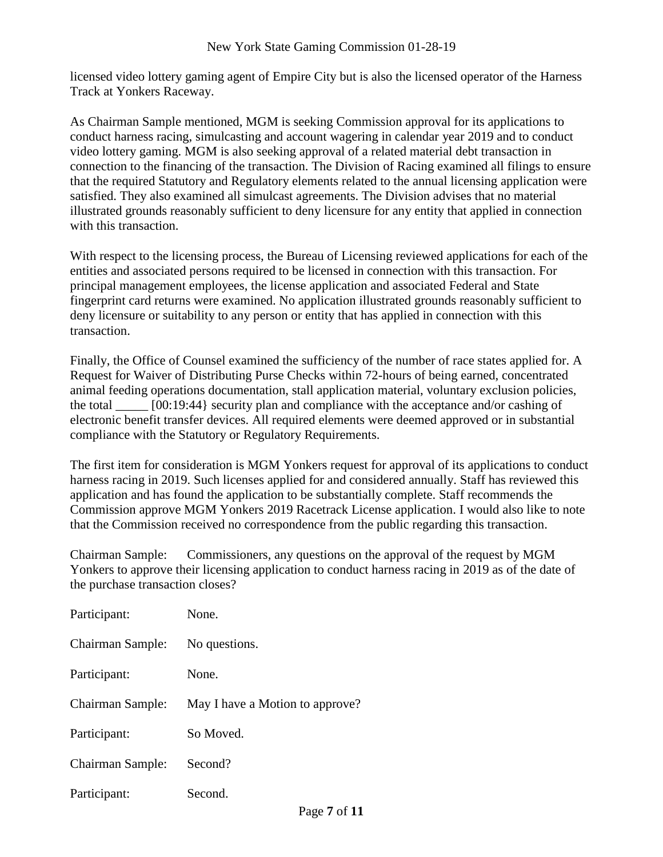licensed video lottery gaming agent of Empire City but is also the licensed operator of the Harness Track at Yonkers Raceway.

As Chairman Sample mentioned, MGM is seeking Commission approval for its applications to conduct harness racing, simulcasting and account wagering in calendar year 2019 and to conduct video lottery gaming. MGM is also seeking approval of a related material debt transaction in connection to the financing of the transaction. The Division of Racing examined all filings to ensure that the required Statutory and Regulatory elements related to the annual licensing application were satisfied. They also examined all simulcast agreements. The Division advises that no material illustrated grounds reasonably sufficient to deny licensure for any entity that applied in connection with this transaction.

With respect to the licensing process, the Bureau of Licensing reviewed applications for each of the entities and associated persons required to be licensed in connection with this transaction. For principal management employees, the license application and associated Federal and State fingerprint card returns were examined. No application illustrated grounds reasonably sufficient to deny licensure or suitability to any person or entity that has applied in connection with this transaction.

Finally, the Office of Counsel examined the sufficiency of the number of race states applied for. A Request for Waiver of Distributing Purse Checks within 72-hours of being earned, concentrated animal feeding operations documentation, stall application material, voluntary exclusion policies, the total  $[00:19:44]$  security plan and compliance with the acceptance and/or cashing of electronic benefit transfer devices. All required elements were deemed approved or in substantial compliance with the Statutory or Regulatory Requirements.

The first item for consideration is MGM Yonkers request for approval of its applications to conduct harness racing in 2019. Such licenses applied for and considered annually. Staff has reviewed this application and has found the application to be substantially complete. Staff recommends the Commission approve MGM Yonkers 2019 Racetrack License application. I would also like to note that the Commission received no correspondence from the public regarding this transaction.

Chairman Sample: Commissioners, any questions on the approval of the request by MGM Yonkers to approve their licensing application to conduct harness racing in 2019 as of the date of the purchase transaction closes?

| Participant:     | None.                           |
|------------------|---------------------------------|
| Chairman Sample: | No questions.                   |
| Participant:     | None.                           |
| Chairman Sample: | May I have a Motion to approve? |
| Participant:     | So Moved.                       |
| Chairman Sample: | Second?                         |
| Participant:     | Second.                         |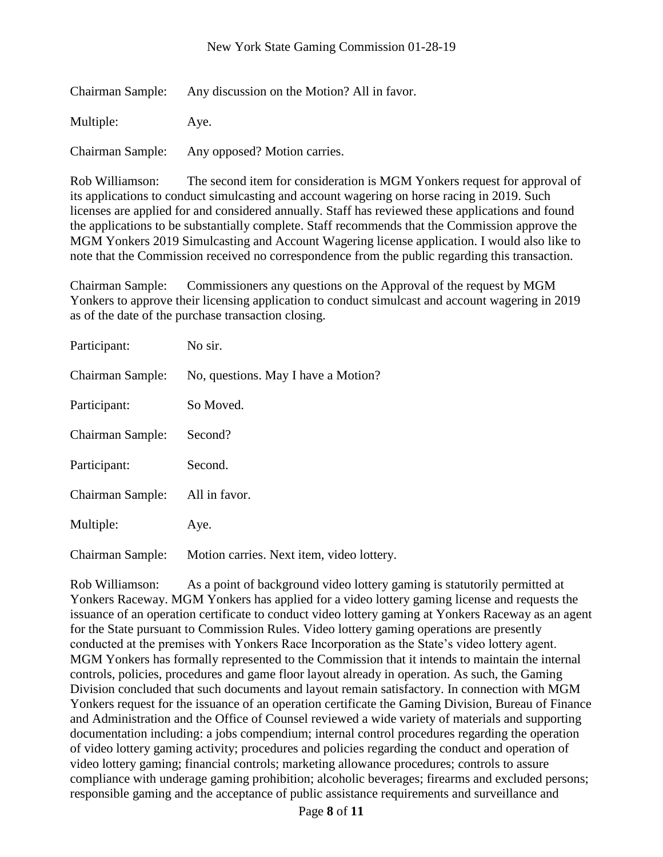| Chairman Sample: | Any discussion on the Motion? All in favor. |
|------------------|---------------------------------------------|
| Multiple:        | Ave.                                        |

Chairman Sample: Any opposed? Motion carries.

Rob Williamson: The second item for consideration is MGM Yonkers request for approval of its applications to conduct simulcasting and account wagering on horse racing in 2019. Such licenses are applied for and considered annually. Staff has reviewed these applications and found the applications to be substantially complete. Staff recommends that the Commission approve the MGM Yonkers 2019 Simulcasting and Account Wagering license application. I would also like to note that the Commission received no correspondence from the public regarding this transaction.

Chairman Sample: Commissioners any questions on the Approval of the request by MGM Yonkers to approve their licensing application to conduct simulcast and account wagering in 2019 as of the date of the purchase transaction closing.

| Participant:     | No sir.                                   |
|------------------|-------------------------------------------|
| Chairman Sample: | No, questions. May I have a Motion?       |
| Participant:     | So Moved.                                 |
| Chairman Sample: | Second?                                   |
| Participant:     | Second.                                   |
| Chairman Sample: | All in favor.                             |
| Multiple:        | Aye.                                      |
| Chairman Sample: | Motion carries. Next item, video lottery. |

Rob Williamson: As a point of background video lottery gaming is statutorily permitted at Yonkers Raceway. MGM Yonkers has applied for a video lottery gaming license and requests the issuance of an operation certificate to conduct video lottery gaming at Yonkers Raceway as an agent for the State pursuant to Commission Rules. Video lottery gaming operations are presently conducted at the premises with Yonkers Race Incorporation as the State's video lottery agent. MGM Yonkers has formally represented to the Commission that it intends to maintain the internal controls, policies, procedures and game floor layout already in operation. As such, the Gaming Division concluded that such documents and layout remain satisfactory. In connection with MGM Yonkers request for the issuance of an operation certificate the Gaming Division, Bureau of Finance and Administration and the Office of Counsel reviewed a wide variety of materials and supporting documentation including: a jobs compendium; internal control procedures regarding the operation of video lottery gaming activity; procedures and policies regarding the conduct and operation of video lottery gaming; financial controls; marketing allowance procedures; controls to assure compliance with underage gaming prohibition; alcoholic beverages; firearms and excluded persons; responsible gaming and the acceptance of public assistance requirements and surveillance and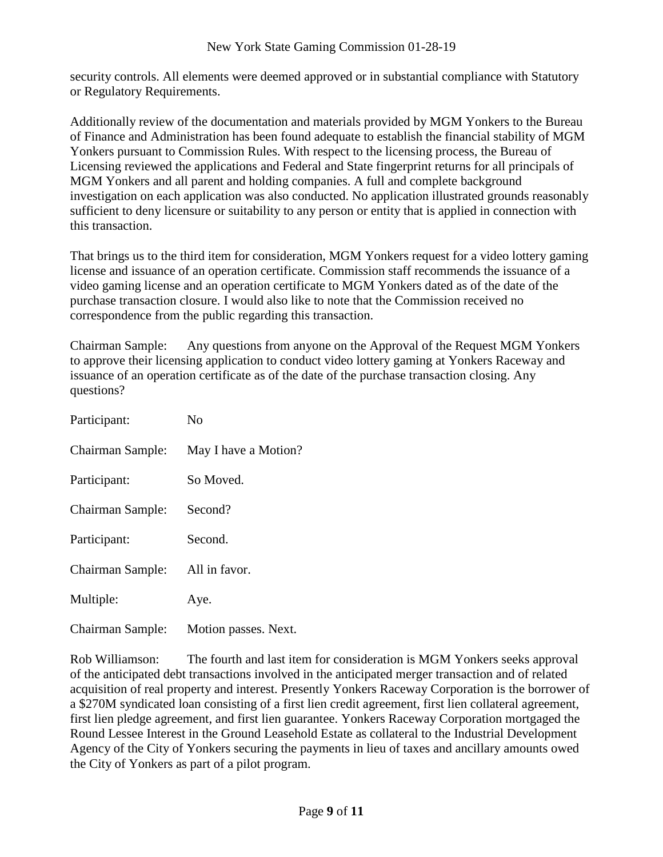security controls. All elements were deemed approved or in substantial compliance with Statutory or Regulatory Requirements.

Additionally review of the documentation and materials provided by MGM Yonkers to the Bureau of Finance and Administration has been found adequate to establish the financial stability of MGM Yonkers pursuant to Commission Rules. With respect to the licensing process, the Bureau of Licensing reviewed the applications and Federal and State fingerprint returns for all principals of MGM Yonkers and all parent and holding companies. A full and complete background investigation on each application was also conducted. No application illustrated grounds reasonably sufficient to deny licensure or suitability to any person or entity that is applied in connection with this transaction.

That brings us to the third item for consideration, MGM Yonkers request for a video lottery gaming license and issuance of an operation certificate. Commission staff recommends the issuance of a video gaming license and an operation certificate to MGM Yonkers dated as of the date of the purchase transaction closure. I would also like to note that the Commission received no correspondence from the public regarding this transaction.

Chairman Sample: Any questions from anyone on the Approval of the Request MGM Yonkers to approve their licensing application to conduct video lottery gaming at Yonkers Raceway and issuance of an operation certificate as of the date of the purchase transaction closing. Any questions?

| Participant:            | No                   |
|-------------------------|----------------------|
| Chairman Sample:        | May I have a Motion? |
| Participant:            | So Moved.            |
| Chairman Sample:        | Second?              |
| Participant:            | Second.              |
| <b>Chairman Sample:</b> | All in favor.        |
| Multiple:               | Aye.                 |
| Chairman Sample:        | Motion passes. Next. |

Rob Williamson: The fourth and last item for consideration is MGM Yonkers seeks approval of the anticipated debt transactions involved in the anticipated merger transaction and of related acquisition of real property and interest. Presently Yonkers Raceway Corporation is the borrower of a \$270M syndicated loan consisting of a first lien credit agreement, first lien collateral agreement, first lien pledge agreement, and first lien guarantee. Yonkers Raceway Corporation mortgaged the Round Lessee Interest in the Ground Leasehold Estate as collateral to the Industrial Development Agency of the City of Yonkers securing the payments in lieu of taxes and ancillary amounts owed the City of Yonkers as part of a pilot program.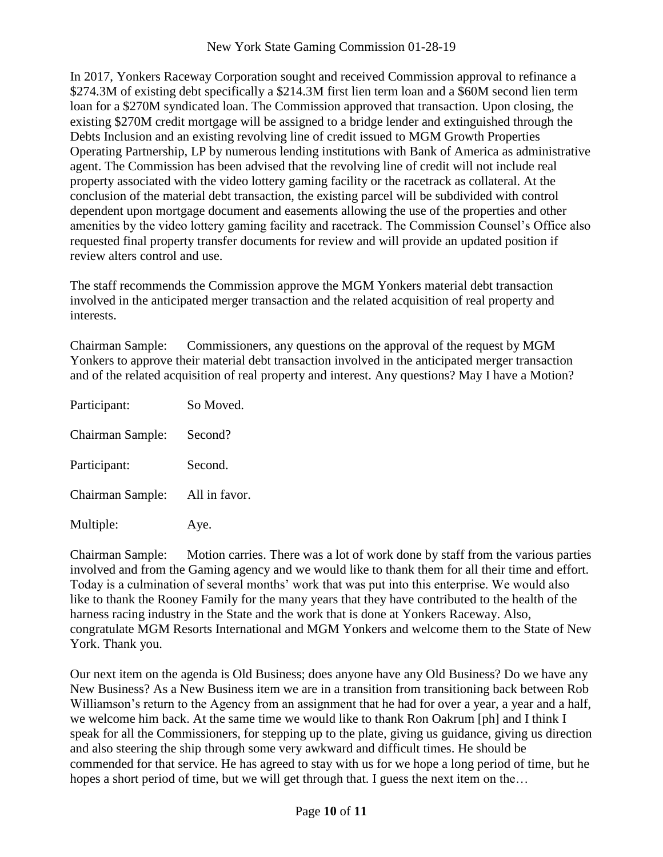In 2017, Yonkers Raceway Corporation sought and received Commission approval to refinance a \$274.3M of existing debt specifically a \$214.3M first lien term loan and a \$60M second lien term loan for a \$270M syndicated loan. The Commission approved that transaction. Upon closing, the existing \$270M credit mortgage will be assigned to a bridge lender and extinguished through the Debts Inclusion and an existing revolving line of credit issued to MGM Growth Properties Operating Partnership, LP by numerous lending institutions with Bank of America as administrative agent. The Commission has been advised that the revolving line of credit will not include real property associated with the video lottery gaming facility or the racetrack as collateral. At the conclusion of the material debt transaction, the existing parcel will be subdivided with control dependent upon mortgage document and easements allowing the use of the properties and other amenities by the video lottery gaming facility and racetrack. The Commission Counsel's Office also requested final property transfer documents for review and will provide an updated position if review alters control and use.

The staff recommends the Commission approve the MGM Yonkers material debt transaction involved in the anticipated merger transaction and the related acquisition of real property and interests.

Chairman Sample: Commissioners, any questions on the approval of the request by MGM Yonkers to approve their material debt transaction involved in the anticipated merger transaction and of the related acquisition of real property and interest. Any questions? May I have a Motion?

| Participant:     | So Moved.     |
|------------------|---------------|
| Chairman Sample: | Second?       |
| Participant:     | Second.       |
| Chairman Sample: | All in favor. |
| Multiple:        | Aye.          |

Chairman Sample: Motion carries. There was a lot of work done by staff from the various parties involved and from the Gaming agency and we would like to thank them for all their time and effort. Today is a culmination of several months' work that was put into this enterprise. We would also like to thank the Rooney Family for the many years that they have contributed to the health of the harness racing industry in the State and the work that is done at Yonkers Raceway. Also, congratulate MGM Resorts International and MGM Yonkers and welcome them to the State of New York. Thank you.

Our next item on the agenda is Old Business; does anyone have any Old Business? Do we have any New Business? As a New Business item we are in a transition from transitioning back between Rob Williamson's return to the Agency from an assignment that he had for over a year, a year and a half, we welcome him back. At the same time we would like to thank Ron Oakrum [ph] and I think I speak for all the Commissioners, for stepping up to the plate, giving us guidance, giving us direction and also steering the ship through some very awkward and difficult times. He should be commended for that service. He has agreed to stay with us for we hope a long period of time, but he hopes a short period of time, but we will get through that. I guess the next item on the...